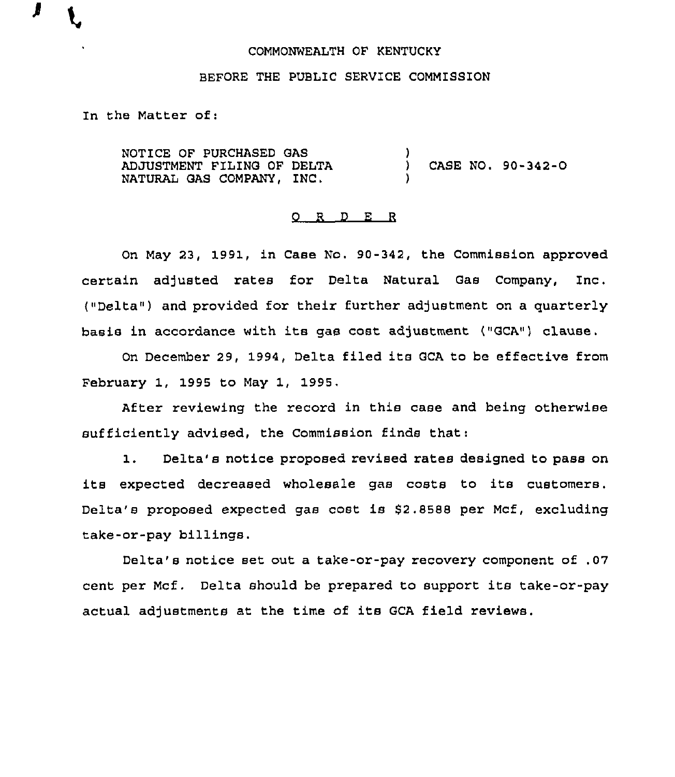## COMMONWEALTH OF KENTUCKY

## BEFORE THE PUBLIC SERVICE COMMISSION

In the Matter of:

J

NOTICE OF PURCHASED GAS ADJUSTMENT FILING OF DELTA NATURAL GAS COMPANY, INC.  $\left\{ \right\}$ ) CASE NO. 90-342-0 )

#### ORDER

On May 23, 1991, in Case No. 90-342, the Commission approved certain adjusted rates for Delta Natural Gas Company, Inc. ("Delta") and provided for their further adjustment on a quarterly basis in accordance with its gas cost adjustment ("GCA") clause.

On December 29, 1994, Delta filed its GCA to be effective from February 1, 1995 to May 1, 1995,

After reviewing the record in this case and being otherwise sufficiently advised, the Commission finds that:

1. Delta's notice proposed revised rates designed to pass on its expected decreased wholesale gas costs to its customers. Delta's proposed expected gas cost is 82.8588 per Mcf, excluding take-or-pay billings.

Delta's notice set out a take-or-pay recovery component of .07 cent per Mcf . Delta should be prepared to support its take-or-pay actual adjustments at the time of its GCA field reviews.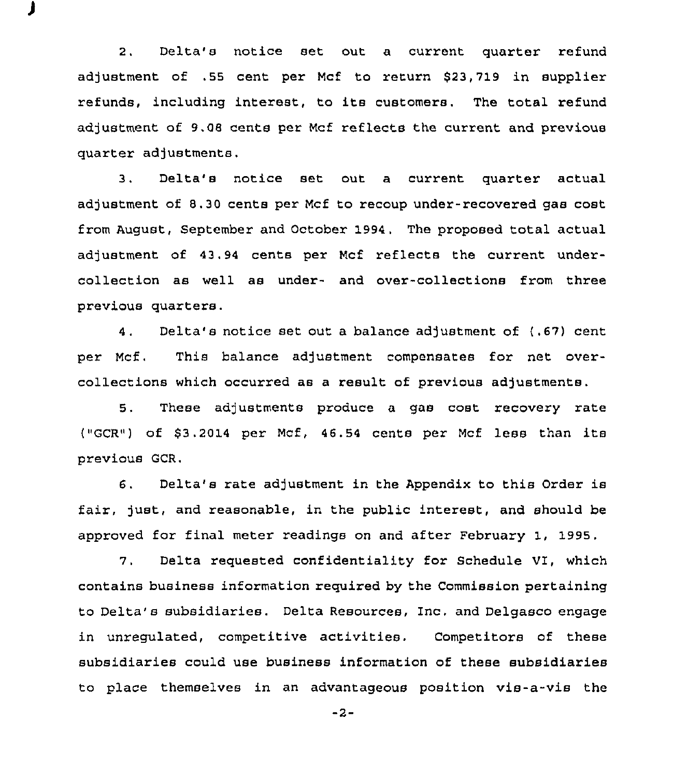2. Delta's notice set out a current quarter refund adjustment of .55 cent per Mcf to return \$23,719 in supplier refunds, including interest, to its customers. The total refund adjustment of 9.08 cents per Mcf reflects the current and previous quarter adjustments.

3. Delta's notice set out a current quarter actual adjustment of 8.30 cents per Mcf to recoup under-recovered gas cost from August, September and October 1994. The proposed total actual adjustment of 43.94 cents per Mcf reflects the current undercollection as well as under- and over-collections from three previous quarters.

4. Delta's notice set out a balance adjustment of (.67) cent per Mcf, This balance adjustment compensates for net overcollections which occurred as a result of previous adjustments.

5. These adjustments produce a gas cost recovery rate ("GCR4) of 63.2014 per Mcf, 46.54 cents per Mcf less than its prevtous GCR.

6. Delta's rate adjustment in the Appendix to this Order is fair, just, and reasonable, in the public interest, and should be approved for final meter readings on and after February 1, 1995.

7. Delta requested confidentiality for Schedule VI, which contains business information required by the Commission pertaining to Delta's subsidiaries. Delta Resources, Inc, and Delgasco engage in unregulated, competitive activities. Competitors of these subsidiaries could use business information of these subsidiaries to place themselves in an advantageous position vis-a-vis the

 $-2-$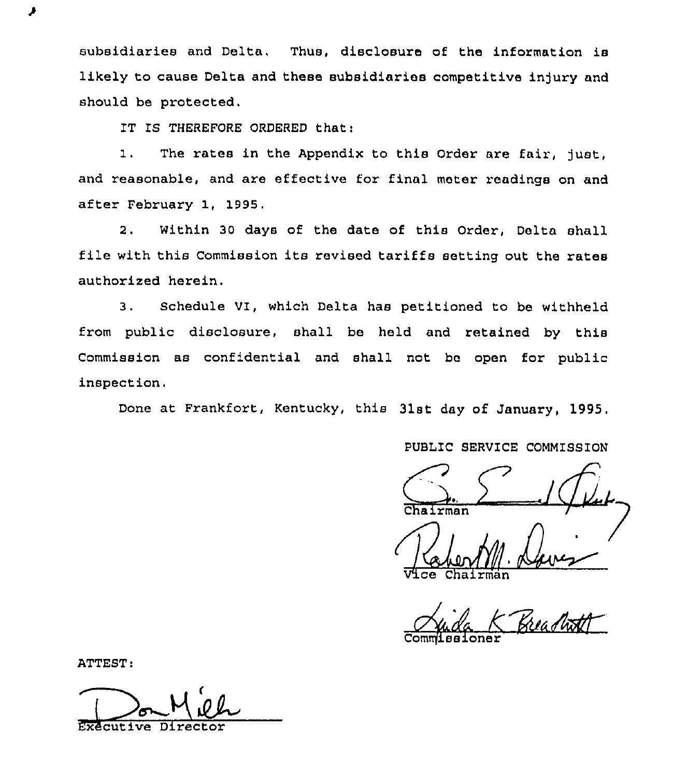subsidiaries and Delta, Thus, disclosure of the information is likely to cause Delta and these subsidiaries competitive injury and should be protected.

IT IS THEREFORE ORDERED that:

1. The rates in the Appendix to this Order are fair, just, and reasonable, and are effective for final meter readings on and after February 1, 1995.

2. Within 30 days of the date of this Order, Delta shall file with this Commission its revised tariffs setting out the rates authorized herein.

3. Schedule VI, which Delta has petitioned to be withheld from public disclosure, shall be held and retained by this Commission as confidential and shall not be open for public inspection,

Done at Frankfort, Kentucky, this 31st day of January, 1995.

PUBLIC SERVICE COMMISSION

 $\frac{1}{\sqrt{L}}$ 

Vice Chairma

Juida K Breachoff

Commissioner

ATTEST:

ر

Executive Director i